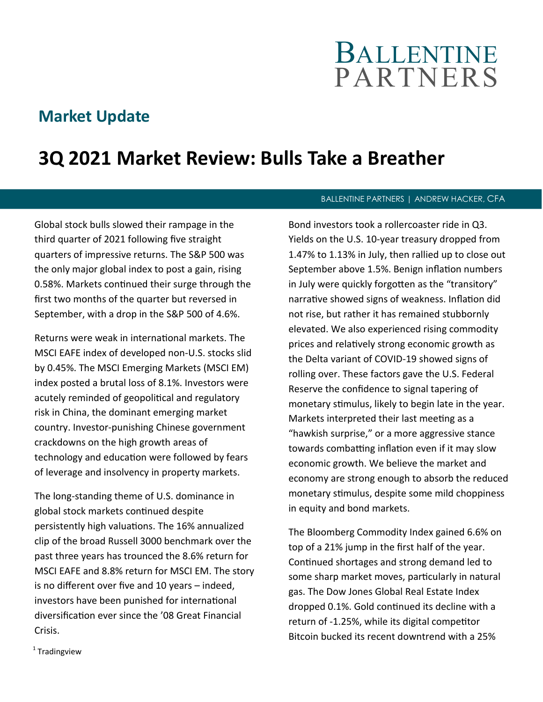# BALLENTINE **PARTNERS**

### **Market Update**

## **3Q 2021 Market Review: Bulls Take a Breather**

Global stock bulls slowed their rampage in the third quarter of 2021 following five straight quarters of impressive returns. The S&P 500 was the only major global index to post a gain, rising 0.58%. Markets continued their surge through the first two months of the quarter but reversed in September, with a drop in the S&P 500 of 4.6%.

Returns were weak in international markets. The MSCI EAFE index of developed non-U.S. stocks slid by 0.45%. The MSCI Emerging Markets (MSCI EM) index posted a brutal loss of 8.1%. Investors were acutely reminded of geopolitical and regulatory risk in China, the dominant emerging market country. Investor-punishing Chinese government crackdowns on the high growth areas of technology and education were followed by fears of leverage and insolvency in property markets.

The long-standing theme of U.S. dominance in global stock markets continued despite persistently high valuations. The 16% annualized clip of the broad Russell 3000 benchmark over the past three years has trounced the 8.6% return for MSCI EAFE and 8.8% return for MSCI EM. The story is no different over five and 10 years – indeed, investors have been punished for international diversification ever since the '08 Great Financial Crisis.

#### BALLENTINE PARTNERS | ANDREW HACKER, CFA

Bond investors took a rollercoaster ride in Q3. Yields on the U.S. 10-year treasury dropped from 1.47% to 1.13% in July, then rallied up to close out September above 1.5%. Benign inflation numbers in July were quickly forgotten as the "transitory" narrative showed signs of weakness. Inflation did not rise, but rather it has remained stubbornly elevated. We also experienced rising commodity prices and relatively strong economic growth as the Delta variant of COVID-19 showed signs of rolling over. These factors gave the U.S. Federal Reserve the confidence to signal tapering of monetary stimulus, likely to begin late in the year. Markets interpreted their last meeting as a "hawkish surprise," or a more aggressive stance towards combatting inflation even if it may slow economic growth. We believe the market and economy are strong enough to absorb the reduced monetary stimulus, despite some mild choppiness in equity and bond markets.

The Bloomberg Commodity Index gained 6.6% on top of a 21% jump in the first half of the year. Continued shortages and strong demand led to some sharp market moves, particularly in natural gas. The Dow Jones Global Real Estate Index dropped 0.1%. Gold continued its decline with a return of -1.25%, while its digital competitor Bitcoin bucked its recent downtrend with a 25%

<sup>1</sup> Tradingview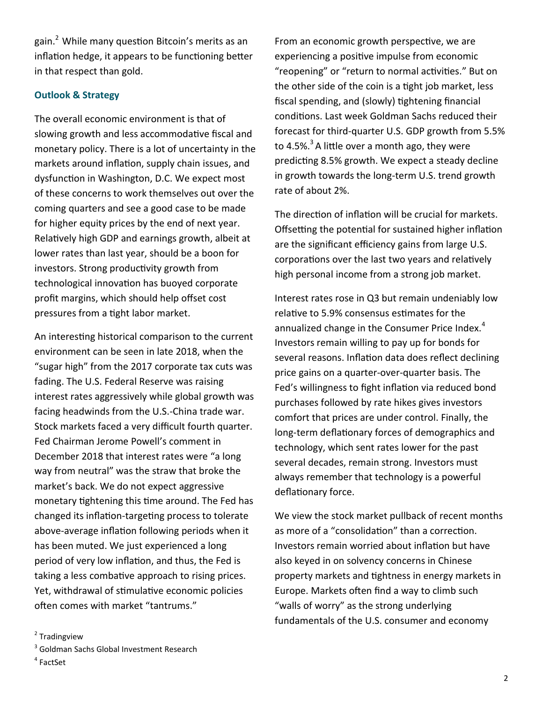gain.<sup>2</sup> While many question Bitcoin's merits as an inflation hedge, it appears to be functioning better in that respect than gold.

#### **Outlook & Strategy**

The overall economic environment is that of slowing growth and less accommodative fiscal and monetary policy. There is a lot of uncertainty in the markets around inflation, supply chain issues, and dysfunction in Washington, D.C. We expect most of these concerns to work themselves out over the coming quarters and see a good case to be made for higher equity prices by the end of next year. Relatively high GDP and earnings growth, albeit at lower rates than last year, should be a boon for investors. Strong productivity growth from technological innovation has buoyed corporate profit margins, which should help offset cost pressures from a tight labor market.

An interesting historical comparison to the current environment can be seen in late 2018, when the "sugar high" from the 2017 corporate tax cuts was fading. The U.S. Federal Reserve was raising interest rates aggressively while global growth was facing headwinds from the U.S.-China trade war. Stock markets faced a very difficult fourth quarter. Fed Chairman Jerome Powell's comment in December 2018 that interest rates were "a long way from neutral" was the straw that broke the market's back. We do not expect aggressive monetary tightening this time around. The Fed has changed its inflation-targeting process to tolerate above-average inflation following periods when it has been muted. We just experienced a long period of very low inflation, and thus, the Fed is taking a less combative approach to rising prices. Yet, withdrawal of stimulative economic policies often comes with market "tantrums."

From an economic growth perspective, we are experiencing a positive impulse from economic "reopening" or "return to normal activities." But on the other side of the coin is a tight job market, less fiscal spending, and (slowly) tightening financial conditions. Last week Goldman Sachs reduced their forecast for third-quarter U.S. GDP growth from 5.5% to 4.5%.<sup>3</sup> A little over a month ago, they were predicting 8.5% growth. We expect a steady decline in growth towards the long-term U.S. trend growth rate of about 2%.

The direction of inflation will be crucial for markets. Offsetting the potential for sustained higher inflation are the significant efficiency gains from large U.S. corporations over the last two years and relatively high personal income from a strong job market.

Interest rates rose in Q3 but remain undeniably low relative to 5.9% consensus estimates for the annualized change in the Consumer Price Index. $4$ Investors remain willing to pay up for bonds for several reasons. Inflation data does reflect declining price gains on a quarter-over-quarter basis. The Fed's willingness to fight inflation via reduced bond purchases followed by rate hikes gives investors comfort that prices are under control. Finally, the long-term deflationary forces of demographics and technology, which sent rates lower for the past several decades, remain strong. Investors must always remember that technology is a powerful deflationary force.

We view the stock market pullback of recent months as more of a "consolidation" than a correction. Investors remain worried about inflation but have also keyed in on solvency concerns in Chinese property markets and tightness in energy markets in Europe. Markets often find a way to climb such "walls of worry" as the strong underlying fundamentals of the U.S. consumer and economy

<sup>2</sup> Tradingview

4 FactSet

<sup>&</sup>lt;sup>3</sup> Goldman Sachs Global Investment Research